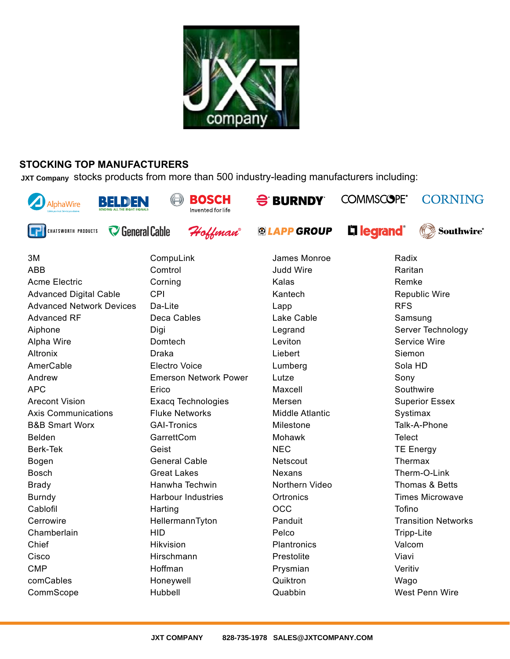

## **STOCKING TOP MANUFACTURERS**

JXT Company Stocks products from more than 500 industry-leading manufacturers including:



Acme Electric Advanced Digital Cable Advanced Network Devices Advanced RF Aiphone Alpha Wire Altronix AmerCable Andrew APC Arecont Vision Axis Communications B&B Smart Worx Belden Berk-Tek Bogen Bosch Brady Burndy Cablofil Cerrowire **Chamberlain** Chief **Cisco** CMP comCables CommScope

Corning CPI Da-Lite Deca Cables **Digi Domtech** Draka Electro Voice Emerson Network Power Erico Exacq Technologies Fluke Networks GAI-Tronics GarrettCom Geist General Cable Great Lakes Hanwha Techwin Harbour Industries **Harting** HellermannTyton HID Hikvision **Hirschmann** Hoffman Honeywell Hubbell

Kalas Kantech Lapp Lake Cable Legrand Leviton Liebert Lumberg Lutze Maxcell Mersen Middle Atlantic Milestone Mohawk NEC **Netscout** Nexans Northern Video **Ortronics** OCC Panduit Pelco **Plantronics** Prestolite Prysmian Quiktron Quabbin

Remke Republic Wire RFS Samsung Server Technology Service Wire Siemon Sola HD Sony **Southwire** Superior Essex Systimax Talk-A-Phone **Telect** TE Energy Thermax Therm-O-Link Thomas & Betts Times Microwave Tofino Transition Networks Tripp-Lite Valcom Viavi Veritiv Wago West Penn Wire